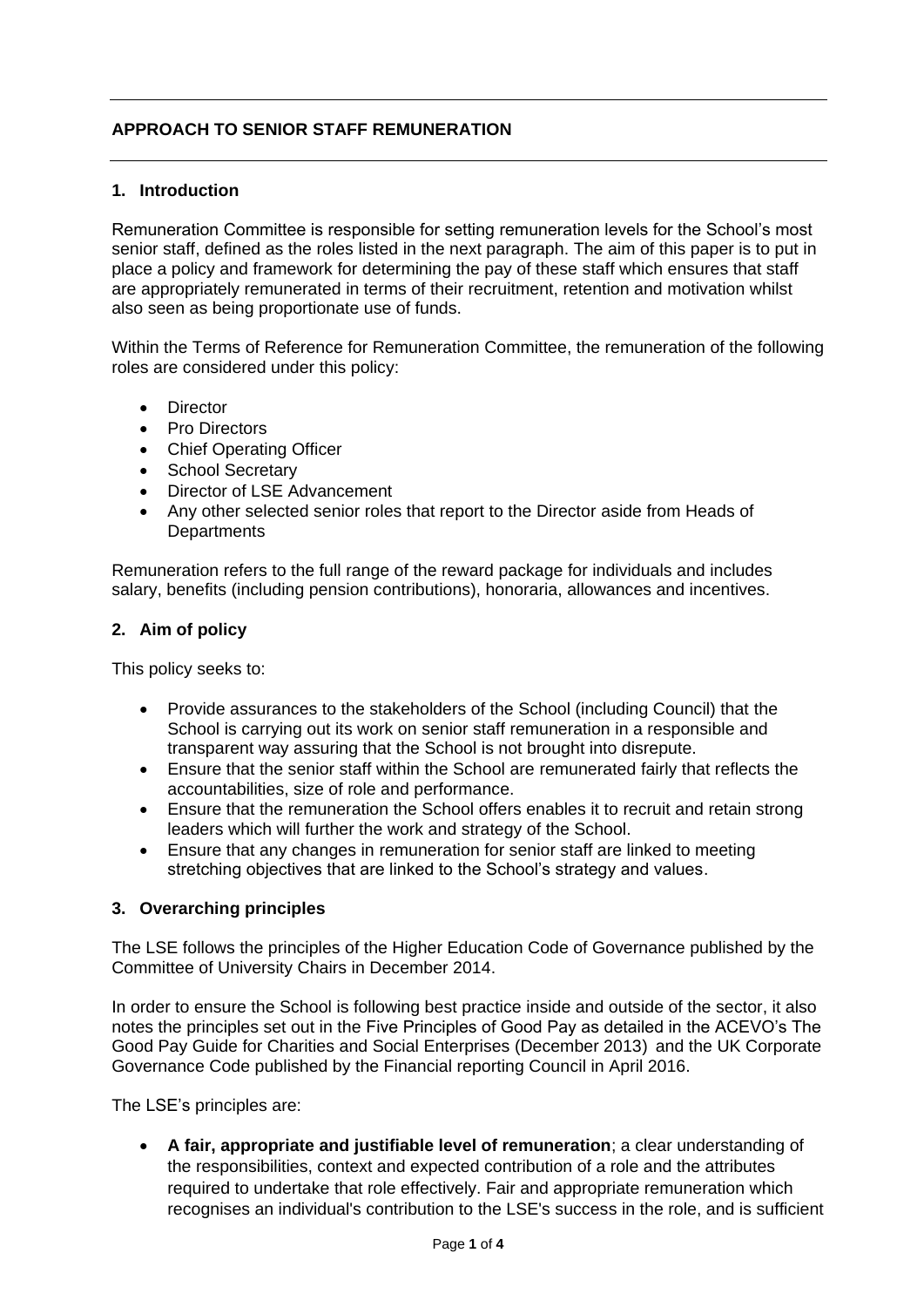# **APPROACH TO SENIOR STAFF REMUNERATION**

## **1. Introduction**

Remuneration Committee is responsible for setting remuneration levels for the School's most senior staff, defined as the roles listed in the next paragraph. The aim of this paper is to put in place a policy and framework for determining the pay of these staff which ensures that staff are appropriately remunerated in terms of their recruitment, retention and motivation whilst also seen as being proportionate use of funds.

Within the Terms of Reference for Remuneration Committee, the remuneration of the following roles are considered under this policy:

- **•** Director
- Pro Directors
- Chief Operating Officer
- School Secretary
- Director of LSE Advancement
- Any other selected senior roles that report to the Director aside from Heads of **Departments**

Remuneration refers to the full range of the reward package for individuals and includes salary, benefits (including pension contributions), honoraria, allowances and incentives.

## **2. Aim of policy**

This policy seeks to:

- Provide assurances to the stakeholders of the School (including Council) that the School is carrying out its work on senior staff remuneration in a responsible and transparent way assuring that the School is not brought into disrepute.
- Ensure that the senior staff within the School are remunerated fairly that reflects the accountabilities, size of role and performance.
- Ensure that the remuneration the School offers enables it to recruit and retain strong leaders which will further the work and strategy of the School.
- Ensure that any changes in remuneration for senior staff are linked to meeting stretching objectives that are linked to the School's strategy and values.

## **3. Overarching principles**

The LSE follows the principles of the Higher Education Code of Governance published by the Committee of University Chairs in December 2014.

In order to ensure the School is following best practice inside and outside of the sector, it also notes the principles set out in the Five Principles of Good Pay as detailed in the ACEVO's The Good Pay Guide for Charities and Social Enterprises (December 2013) and the UK Corporate Governance Code published by the Financial reporting Council in April 2016.

The LSE's principles are:

 **A fair, appropriate and justifiable level of remuneration**; a clear understanding of the responsibilities, context and expected contribution of a role and the attributes required to undertake that role effectively. Fair and appropriate remuneration which recognises an individual's contribution to the LSE's success in the role, and is sufficient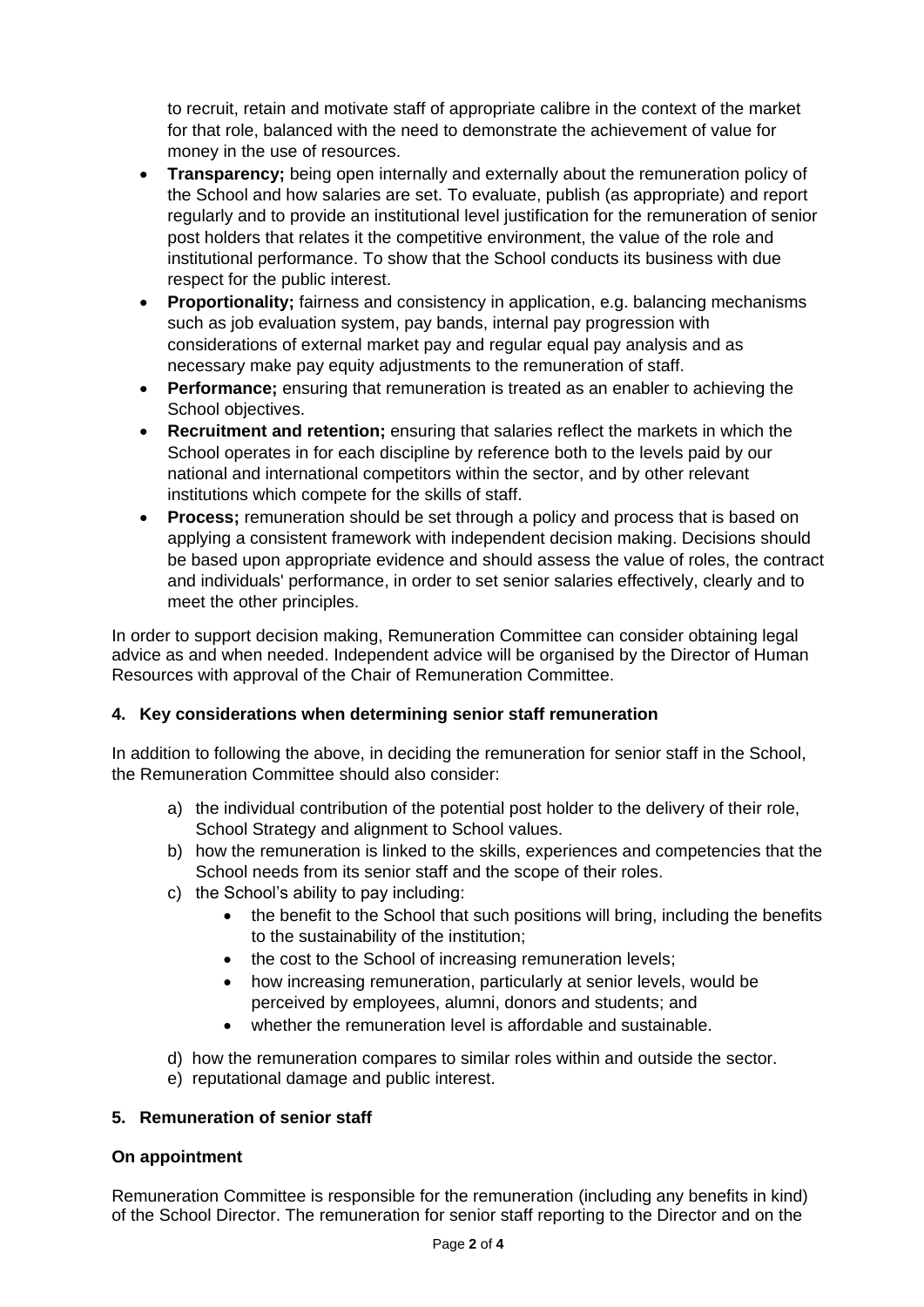to recruit, retain and motivate staff of appropriate calibre in the context of the market for that role, balanced with the need to demonstrate the achievement of value for money in the use of resources.

- **Transparency;** being open internally and externally about the remuneration policy of the School and how salaries are set. To evaluate, publish (as appropriate) and report regularly and to provide an institutional level justification for the remuneration of senior post holders that relates it the competitive environment, the value of the role and institutional performance. To show that the School conducts its business with due respect for the public interest.
- **Proportionality;** fairness and consistency in application, e.g. balancing mechanisms such as job evaluation system, pay bands, internal pay progression with considerations of external market pay and regular equal pay analysis and as necessary make pay equity adjustments to the remuneration of staff.
- **Performance;** ensuring that remuneration is treated as an enabler to achieving the School objectives.
- **Recruitment and retention;** ensuring that salaries reflect the markets in which the School operates in for each discipline by reference both to the levels paid by our national and international competitors within the sector, and by other relevant institutions which compete for the skills of staff.
- **Process;** remuneration should be set through a policy and process that is based on applying a consistent framework with independent decision making. Decisions should be based upon appropriate evidence and should assess the value of roles, the contract and individuals' performance, in order to set senior salaries effectively, clearly and to meet the other principles.

In order to support decision making, Remuneration Committee can consider obtaining legal advice as and when needed. Independent advice will be organised by the Director of Human Resources with approval of the Chair of Remuneration Committee.

# **4. Key considerations when determining senior staff remuneration**

In addition to following the above, in deciding the remuneration for senior staff in the School, the Remuneration Committee should also consider:

- a) the individual contribution of the potential post holder to the delivery of their role, School Strategy and alignment to School values.
- b) how the remuneration is linked to the skills, experiences and competencies that the School needs from its senior staff and the scope of their roles.
- c) the School's ability to pay including:
	- the benefit to the School that such positions will bring, including the benefits to the sustainability of the institution;
	- the cost to the School of increasing remuneration levels;
	- how increasing remuneration, particularly at senior levels, would be perceived by employees, alumni, donors and students; and
	- whether the remuneration level is affordable and sustainable.
- d) how the remuneration compares to similar roles within and outside the sector.
- e) reputational damage and public interest.

# **5. Remuneration of senior staff**

## **On appointment**

Remuneration Committee is responsible for the remuneration (including any benefits in kind) of the School Director. The remuneration for senior staff reporting to the Director and on the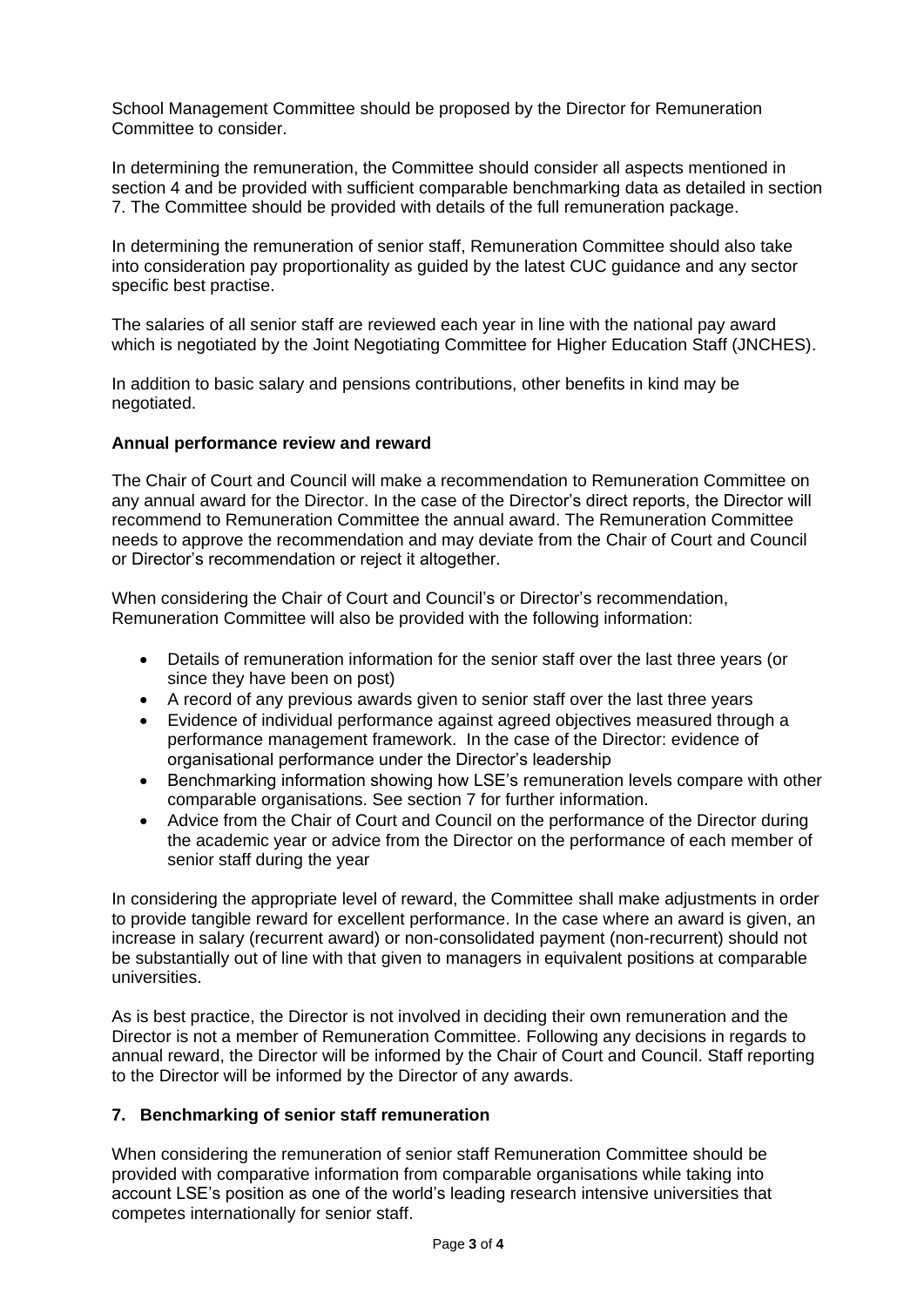School Management Committee should be proposed by the Director for Remuneration Committee to consider.

In determining the remuneration, the Committee should consider all aspects mentioned in section 4 and be provided with sufficient comparable benchmarking data as detailed in section 7. The Committee should be provided with details of the full remuneration package.

In determining the remuneration of senior staff, Remuneration Committee should also take into consideration pay proportionality as guided by the latest CUC guidance and any sector specific best practise.

The salaries of all senior staff are reviewed each year in line with the national pay award which is negotiated by the Joint Negotiating Committee for Higher Education Staff (JNCHES).

In addition to basic salary and pensions contributions, other benefits in kind may be negotiated.

### **Annual performance review and reward**

The Chair of Court and Council will make a recommendation to Remuneration Committee on any annual award for the Director. In the case of the Director's direct reports, the Director will recommend to Remuneration Committee the annual award. The Remuneration Committee needs to approve the recommendation and may deviate from the Chair of Court and Council or Director's recommendation or reject it altogether.

When considering the Chair of Court and Council's or Director's recommendation, Remuneration Committee will also be provided with the following information:

- Details of remuneration information for the senior staff over the last three years (or since they have been on post)
- A record of any previous awards given to senior staff over the last three years
- Evidence of individual performance against agreed objectives measured through a performance management framework. In the case of the Director: evidence of organisational performance under the Director's leadership
- Benchmarking information showing how LSE's remuneration levels compare with other comparable organisations. See section 7 for further information.
- Advice from the Chair of Court and Council on the performance of the Director during the academic year or advice from the Director on the performance of each member of senior staff during the year

In considering the appropriate level of reward, the Committee shall make adjustments in order to provide tangible reward for excellent performance. In the case where an award is given, an increase in salary (recurrent award) or non-consolidated payment (non-recurrent) should not be substantially out of line with that given to managers in equivalent positions at comparable universities.

As is best practice, the Director is not involved in deciding their own remuneration and the Director is not a member of Remuneration Committee. Following any decisions in regards to annual reward, the Director will be informed by the Chair of Court and Council. Staff reporting to the Director will be informed by the Director of any awards.

## **7. Benchmarking of senior staff remuneration**

When considering the remuneration of senior staff Remuneration Committee should be provided with comparative information from comparable organisations while taking into account LSE's position as one of the world's leading research intensive universities that competes internationally for senior staff.